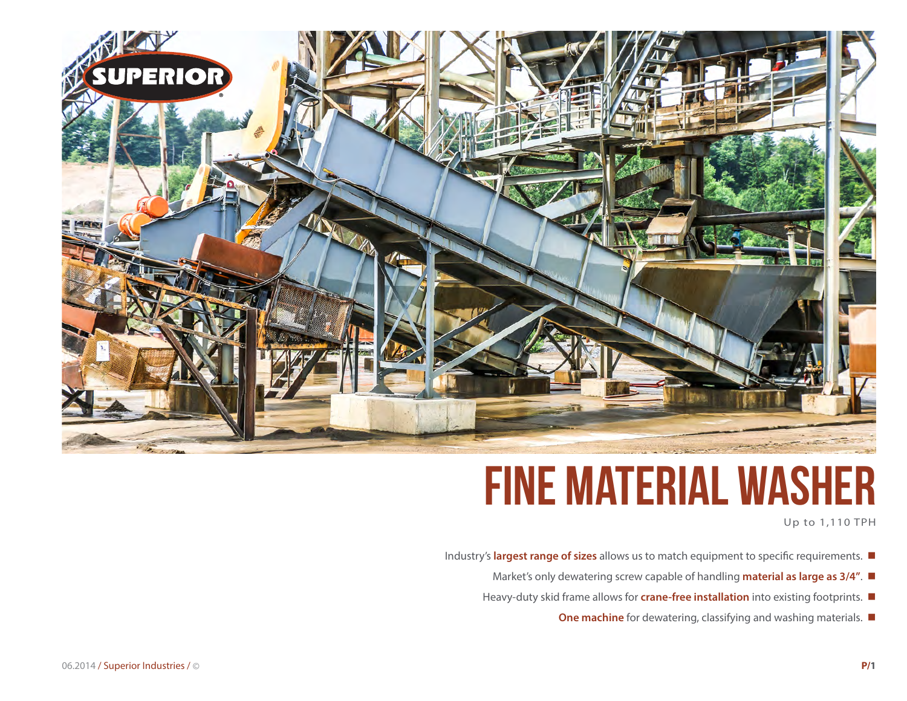

# **fine material washer**

Up to 1,110 TPH

- Industry's **largest range of sizes** allows us to match equipment to specific requirements.  $\blacksquare$ 
	- Market's only dewatering screw capable of handling **material as large as 3/4"**.
	- Heavy-duty skid frame allows for **crane-free installation** into existing footprints.
		- **One machine** for dewatering, classifying and washing materials.  $\blacksquare$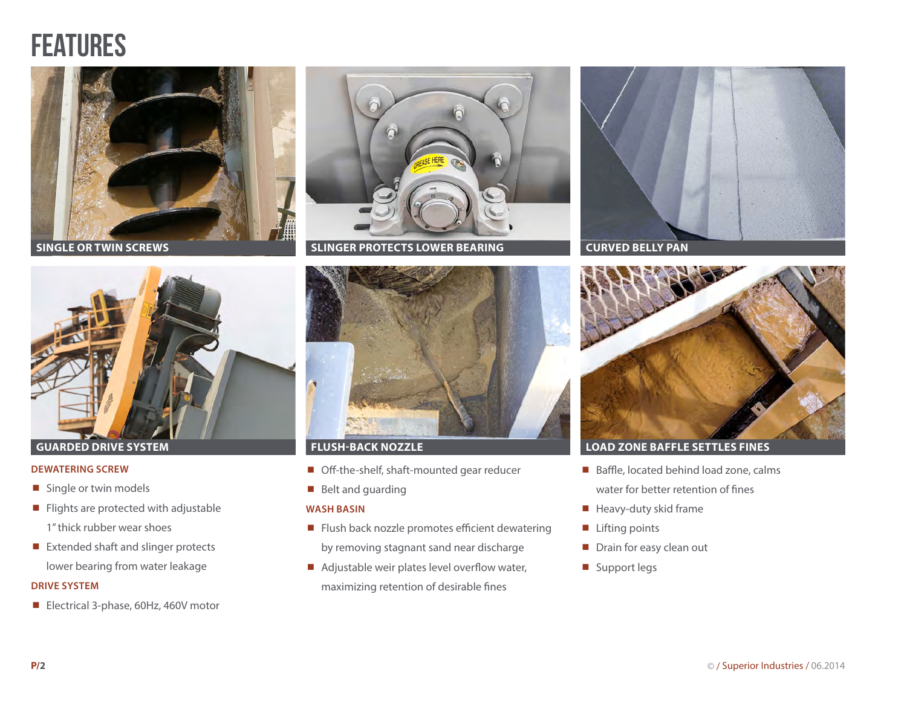### **FEATURES**



**SINGLE OR TWIN SCREWS**



### **DEWATERING SCREW**

- Single or twin models
- $\blacksquare$  Flights are protected with adjustable 1" thick rubber wear shoes
- Extended shaft and slinger protects lower bearing from water leakage

### **DRIVE SYSTEM**

■ Electrical 3-phase, 60Hz, 460V motor



**SLINGER PROTECTS LOWER BEARING CURVED BELLY PAN**



- Off-the-shelf, shaft-mounted gear reducer
- Belt and guarding

### **WASH BASIN**

- Flush back nozzle promotes efficient dewatering by removing stagnant sand near discharge
- $\blacksquare$  Adjustable weir plates level overflow water, maximizing retention of desirable fines





### **GUARDED DRIVE SYSTEM FLUSH-BACK NOZZLE LOAD ZONE BAFFLE SETTLES FINES**

- Baffle, located behind load zone, calms water for better retention of fines
- $\blacksquare$  Heavy-duty skid frame
- $\blacksquare$  Lifting points
- Drain for easy clean out
- Support legs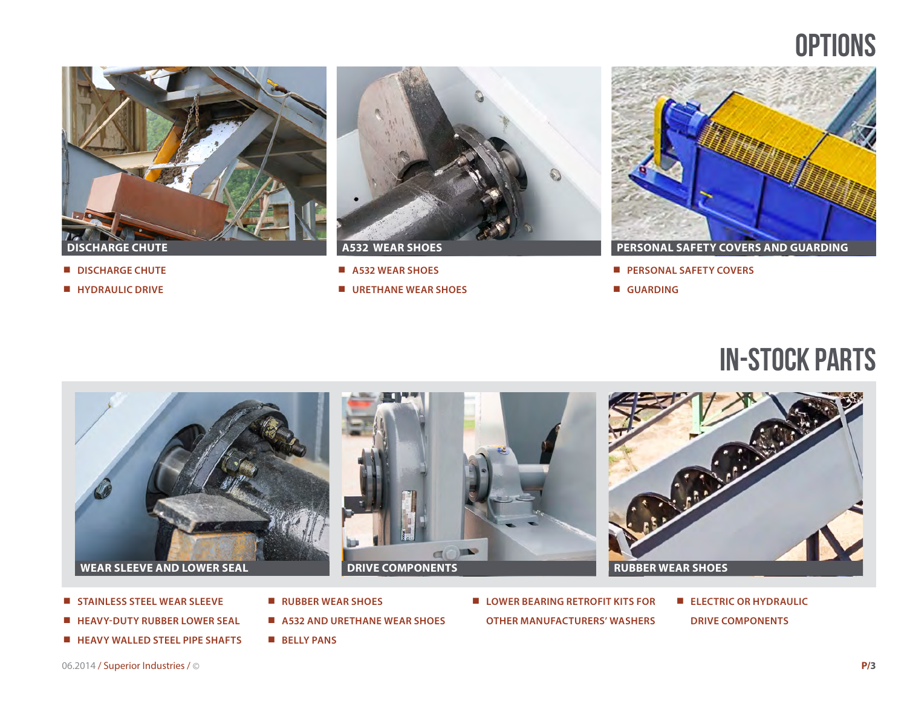### **OPTIONS**



- **DISCHARGE CHUTE**
- **HYDRAULIC DRIVE**



- **A532 WEAR SHOES**
- **URETHANE WEAR SHOES**



**PERSONAL SAFETY COVERS**

**GUARDING**

### in-stock parts



- **STAINLESS STEEL WEAR SLEEVE**
- **HEAVY-DUTY RUBBER LOWER SEAL**
- **HEAVY WALLED STEEL PIPE SHAFTS**
- **RUBBER WEAR SHOES**
- **A532 AND URETHANE WEAR SHOES**
- **BELLY PANS**
- LOWER BEARING RETROFIT KITS FOR **OTHER MANUFACTURERS' WASHERS**
- **ELECTRIC OR HYDRAULIC DRIVE COMPONENTS**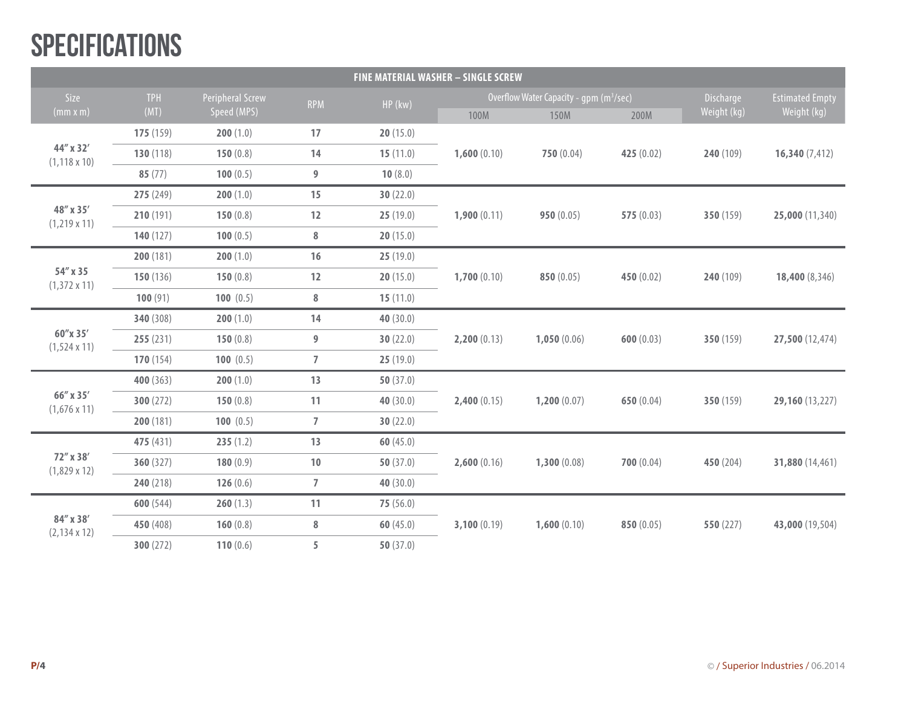## **SPECIFICATIONS**

| <b>FINE MATERIAL WASHER - SINGLE SCREW</b> |                    |                                 |                |             |                                                     |             |            |             |                        |
|--------------------------------------------|--------------------|---------------------------------|----------------|-------------|-----------------------------------------------------|-------------|------------|-------------|------------------------|
| Size<br>(mm x m)                           | <b>TPH</b><br>(MT) | Peripheral Screw<br>Speed (MPS) | <b>RPM</b>     | HP (kw)     | Overflow Water Capacity - gpm (m <sup>3</sup> /sec) |             |            | Discharge   | <b>Estimated Empty</b> |
|                                            |                    |                                 |                |             | 100M                                                | 150M        | 200M       | Weight (kg) | Weight (kg)            |
| 44" x 32'<br>$(1, 118 \times 10)$          | 175(159)           | 200(1.0)                        | 17             | 20(15.0)    |                                                     |             |            |             |                        |
|                                            | 130 (118)          | 150(0.8)                        | 14             | 15(11.0)    | 1,600(0.10)                                         | 750(0.04)   | 425 (0.02) | 240 (109)   | 16,340(7,412)          |
|                                            | 85(77)             | 100(0.5)                        | $9\,$          | 10(8.0)     |                                                     |             |            |             |                        |
| 48" x 35'<br>$(1,219 \times 11)$           | 275 (249)          | 200(1.0)                        | 15             | 30(22.0)    | 1,900(0.11)                                         | 950(0.05)   | 575(0.03)  | 350 (159)   | 25,000 (11,340)        |
|                                            | 210(191)           | 150(0.8)                        | $12$           | 25(19.0)    |                                                     |             |            |             |                        |
|                                            | 140(127)           | 100(0.5)                        | $\bf 8$        | 20(15.0)    |                                                     |             |            |             |                        |
| 54" x 35<br>$(1,372 \times 11)$            | 200(181)           | 200(1.0)                        | 16             | 25(19.0)    |                                                     |             |            |             |                        |
|                                            | 150(136)           | 150(0.8)                        | $12$           | 20(15.0)    | 1,700(0.10)                                         | 850(0.05)   | 450 (0.02) | 240 (109)   | 18,400 (8,346)         |
|                                            | 100(91)            | 100(0.5)                        | $\bf 8$        | 15(11.0)    |                                                     |             |            |             |                        |
| 60"x 35'<br>$(1,524 \times 11)$            | 340 (308)          | 200(1.0)                        | 14             | 40 (30.0)   |                                                     |             |            |             |                        |
|                                            | 255(231)           | 150(0.8)                        | 9              | 30(22.0)    | 2,200(0.13)                                         | 1,050(0.06) | 600(0.03)  | 350 (159)   | 27,500 (12,474)        |
|                                            | 170(154)           | 100(0.5)                        | $\overline{7}$ | 25(19.0)    |                                                     |             |            |             |                        |
| 66" x 35'<br>$(1,676 \times 11)$           | 400 (363)          | 200(1.0)                        | 13             | 50 $(37.0)$ |                                                     |             |            |             |                        |
|                                            | 300(272)           | 150(0.8)                        | 11             | 40(30.0)    | 2,400(0.15)                                         | 1,200(0.07) | 650 (0.04) | 350 (159)   | 29,160 (13,227)        |
|                                            | 200(181)           | 100 $(0.5)$                     | $\overline{7}$ | 30(22.0)    |                                                     |             |            |             |                        |
| 72" x 38'<br>$(1,829 \times 12)$           | 475 (431)          | 235(1.2)                        | 13             | 60(45.0)    |                                                     |             |            |             |                        |
|                                            | 360(327)           | 180(0.9)                        | $10\,$         | 50 $(37.0)$ | 2,600(0.16)                                         | 1,300(0.08) | 700(0.04)  | 450 (204)   | 31,880 (14,461)        |
|                                            | 240(218)           | 126(0.6)                        | $\overline{7}$ | 40(30.0)    |                                                     |             |            |             |                        |
| 84" x 38'<br>$(2, 134 \times 12)$          | 600(544)           | 260(1.3)                        | 11             | 75(56.0)    |                                                     |             |            |             |                        |
|                                            | 450 (408)          | 160(0.8)                        | $\bf 8$        | 60(45.0)    | 3,100(0.19)                                         | 1,600(0.10) | 850 (0.05) | 550 (227)   | 43,000 (19,504)        |
|                                            | 300(272)           | 110(0.6)                        | 5              | 50 $(37.0)$ |                                                     |             |            |             |                        |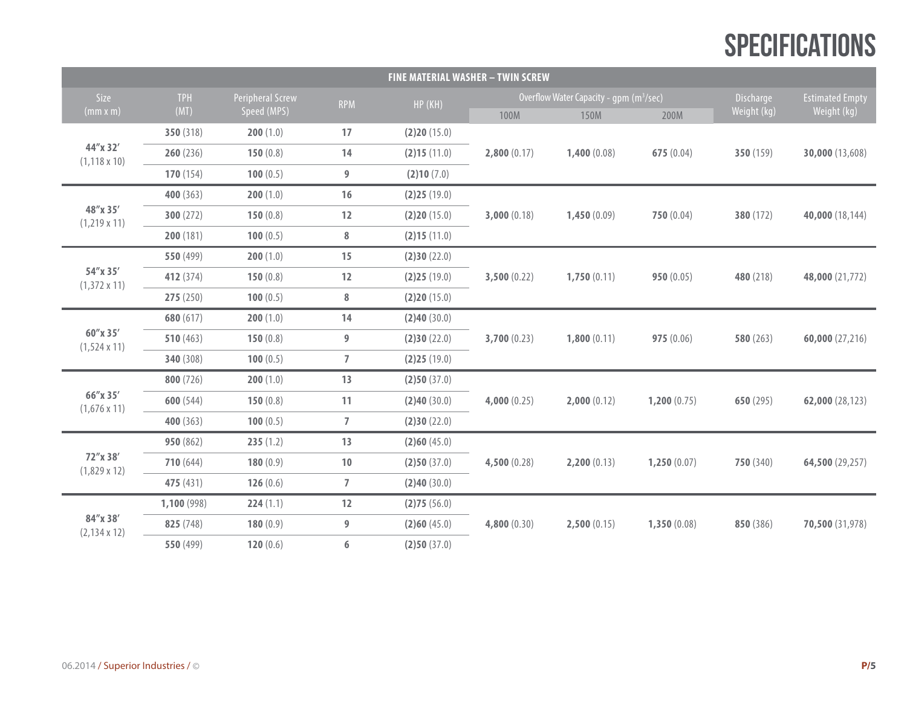## **SPECIFICATIONS**

| <b>FINE MATERIAL WASHER - TWIN SCREW</b> |             |                  |                |             |                                                     |             |             |                  |                        |  |
|------------------------------------------|-------------|------------------|----------------|-------------|-----------------------------------------------------|-------------|-------------|------------------|------------------------|--|
| Size                                     | <b>TPH</b>  | Peripheral Screw | <b>RPM</b>     | HP (KH)     | Overflow Water Capacity - qpm (m <sup>3</sup> /sec) |             |             | <b>Discharge</b> | <b>Estimated Empty</b> |  |
| (mm x m)                                 | (MT)        | Speed (MPS)      |                |             | 100M                                                | 150M        | 200M        | Weight (kg)      | Weight (kg)            |  |
| 44"x 32'<br>$(1, 118 \times 10)$         | 350 (318)   | 200(1.0)         | 17             | (2)20(15.0) |                                                     |             |             |                  |                        |  |
|                                          | 260(236)    | 150 $(0.8)$      | 14             | (2)15(11.0) | 2,800(0.17)                                         | 1,400(0.08) | 675(0.04)   | 350 (159)        | 30,000 (13,608)        |  |
|                                          | 170(154)    | 100 $(0.5)$      | 9              | (2)10(7.0)  |                                                     |             |             |                  |                        |  |
| 48"x 35'<br>$(1,219 \times 11)$          | 400 (363)   | 200(1.0)         | 16             | (2)25(19.0) | 3,000(0.18)                                         | 1,450(0.09) | 750(0.04)   | 380 (172)        | 40,000 (18,144)        |  |
|                                          | 300(272)    | 150 $(0.8)$      | $12\,$         | (2)20(15.0) |                                                     |             |             |                  |                        |  |
|                                          | 200(181)    | 100(0.5)         | $\bf 8$        | (2)15(11.0) |                                                     |             |             |                  |                        |  |
| 54"x 35'<br>$(1,372 \times 11)$          | 550 (499)   | 200(1.0)         | 15             | (2)30(22.0) |                                                     |             |             |                  |                        |  |
|                                          | 412 (374)   | 150 $(0.8)$      | 12             | (2)25(19.0) | 3,500(0.22)                                         | 1,750(0.11) | 950(0.05)   | 480 (218)        | 48,000 (21,772)        |  |
|                                          | 275(250)    | 100 $(0.5)$      | 8              | (2)20(15.0) |                                                     |             |             |                  |                        |  |
| 60"x 35'<br>$(1,524 \times 11)$          | 680 (617)   | 200(1.0)         | 14             | (2)40(30.0) |                                                     |             |             |                  |                        |  |
|                                          | 510(463)    | 150 $(0.8)$      | 9              | (2)30(22.0) | 3,700(0.23)                                         | 1,800(0.11) | 975(0.06)   | 580(263)         | 60,000(27,216)         |  |
|                                          | 340 (308)   | 100(0.5)         | $\overline{7}$ | (2)25(19.0) |                                                     |             |             |                  |                        |  |
| 66"x 35'<br>$(1,676 \times 11)$          | 800 (726)   | 200(1.0)         | 13             | (2)50(37.0) | 4,000(0.25)                                         | 2,000(0.12) | 1,200(0.75) | 650(295)         | 62,000 (28,123)        |  |
|                                          | 600(544)    | 150 $(0.8)$      | 11             | (2)40(30.0) |                                                     |             |             |                  |                        |  |
|                                          | 400 $(363)$ | 100 $(0.5)$      | $\overline{7}$ | (2)30(22.0) |                                                     |             |             |                  |                        |  |
| 72"x 38'<br>$(1,829 \times 12)$          | 950 (862)   | 235(1.2)         | 13             | (2)60(45.0) |                                                     |             |             |                  |                        |  |
|                                          | 710(644)    | 180 $(0.9)$      | $10\,$         | (2)50(37.0) | 4,500(0.28)                                         | 2,200(0.13) | 1,250(0.07) | 750(340)         | 64,500 (29,257)        |  |
|                                          | 475 (431)   | 126(0.6)         | $\overline{7}$ | (2)40(30.0) |                                                     |             |             |                  |                        |  |
| 84"x 38'<br>$(2, 134 \times 12)$         | 1,100 (998) | 224(1.1)         | 12             | (2)75(56.0) |                                                     |             |             |                  |                        |  |
|                                          | 825 (748)   | 180 $(0.9)$      | 9              | (2)60(45.0) | 4,800(0.30)                                         | 2,500(0.15) | 1,350(0.08) | 850 (386)        | 70,500 (31,978)        |  |
|                                          | 550 (499)   | 120(0.6)         | 6              | (2)50(37.0) |                                                     |             |             |                  |                        |  |